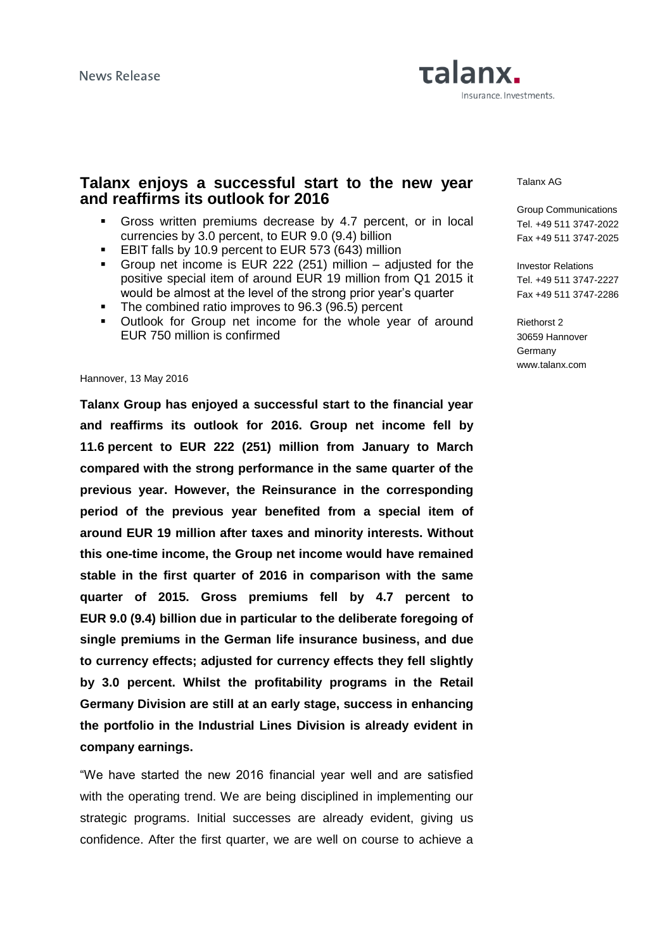# Talanx. Insurance. Investments.

### **Talanx enjoys a successful start to the new year and reaffirms its outlook for 2016**

- Gross written premiums decrease by 4.7 percent, or in local currencies by 3.0 percent, to EUR 9.0 (9.4) billion
- **EBIT falls by 10.9 percent to EUR 573 (643) million**
- Group net income is EUR 222 (251) million adjusted for the positive special item of around EUR 19 million from Q1 2015 it would be almost at the level of the strong prior year's quarter
- The combined ratio improves to 96.3 (96.5) percent
- Outlook for Group net income for the whole year of around EUR 750 million is confirmed

#### Hannover, 13 May 2016

**Talanx Group has enjoyed a successful start to the financial year and reaffirms its outlook for 2016. Group net income fell by 11.6 percent to EUR 222 (251) million from January to March compared with the strong performance in the same quarter of the previous year. However, the Reinsurance in the corresponding period of the previous year benefited from a special item of around EUR 19 million after taxes and minority interests. Without this one-time income, the Group net income would have remained stable in the first quarter of 2016 in comparison with the same quarter of 2015. Gross premiums fell by 4.7 percent to EUR 9.0 (9.4) billion due in particular to the deliberate foregoing of single premiums in the German life insurance business, and due to currency effects; adjusted for currency effects they fell slightly by 3.0 percent. Whilst the profitability programs in the Retail Germany Division are still at an early stage, success in enhancing the portfolio in the Industrial Lines Division is already evident in company earnings.**

"We have started the new 2016 financial year well and are satisfied with the operating trend. We are being disciplined in implementing our strategic programs. Initial successes are already evident, giving us confidence. After the first quarter, we are well on course to achieve a

#### Talanx AG

Group Communications Tel. +49 511 3747-2022 Fax +49 511 3747-2025

Investor Relations Tel. +49 511 3747-2227 Fax +49 511 3747-2286

Riethorst 2 30659 Hannover **Germany** www.talanx.com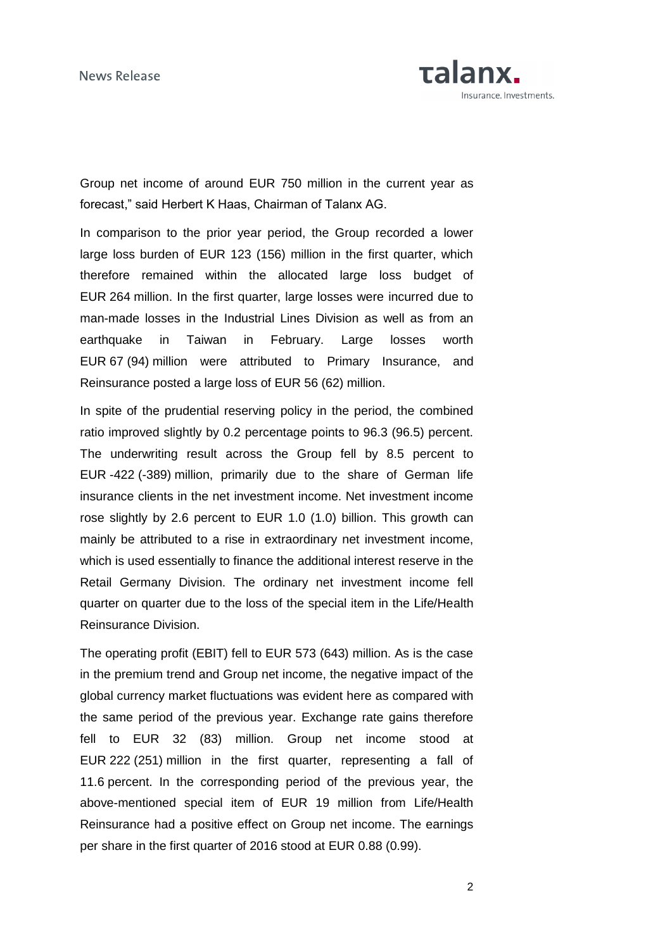

Group net income of around EUR 750 million in the current year as forecast," said Herbert K Haas, Chairman of Talanx AG.

In comparison to the prior year period, the Group recorded a lower large loss burden of EUR 123 (156) million in the first quarter, which therefore remained within the allocated large loss budget of EUR 264 million. In the first quarter, large losses were incurred due to man-made losses in the Industrial Lines Division as well as from an earthquake in Taiwan in February. Large losses worth EUR 67 (94) million were attributed to Primary Insurance, and Reinsurance posted a large loss of EUR 56 (62) million.

In spite of the prudential reserving policy in the period, the combined ratio improved slightly by 0.2 percentage points to 96.3 (96.5) percent. The underwriting result across the Group fell by 8.5 percent to EUR -422 (-389) million, primarily due to the share of German life insurance clients in the net investment income. Net investment income rose slightly by 2.6 percent to EUR 1.0 (1.0) billion. This growth can mainly be attributed to a rise in extraordinary net investment income, which is used essentially to finance the additional interest reserve in the Retail Germany Division. The ordinary net investment income fell quarter on quarter due to the loss of the special item in the Life/Health Reinsurance Division.

The operating profit (EBIT) fell to EUR 573 (643) million. As is the case in the premium trend and Group net income, the negative impact of the global currency market fluctuations was evident here as compared with the same period of the previous year. Exchange rate gains therefore fell to EUR 32 (83) million. Group net income stood at EUR 222 (251) million in the first quarter, representing a fall of 11.6 percent. In the corresponding period of the previous year, the above-mentioned special item of EUR 19 million from Life/Health Reinsurance had a positive effect on Group net income. The earnings per share in the first quarter of 2016 stood at EUR 0.88 (0.99).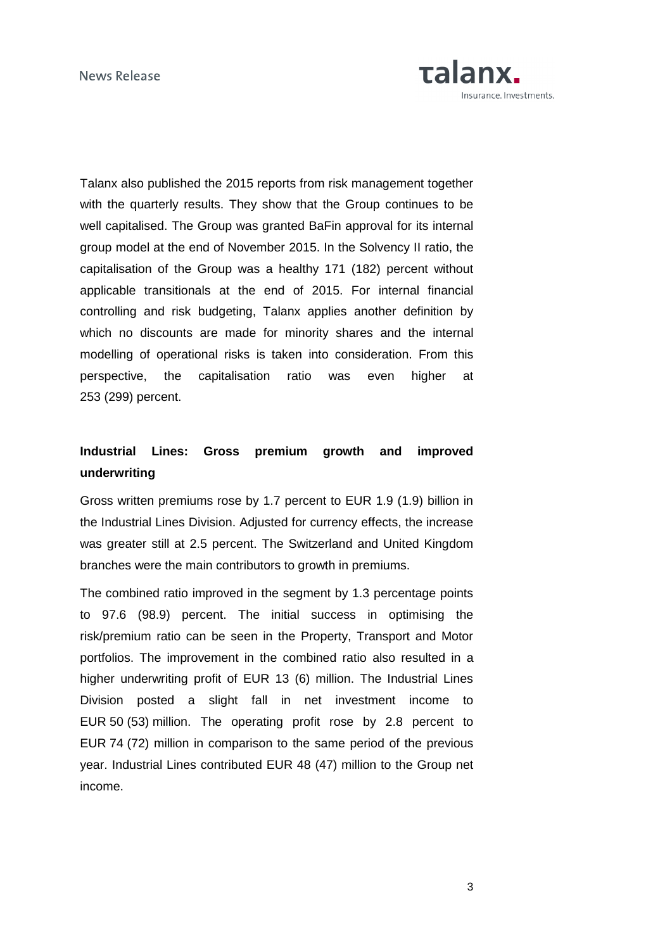

Talanx also published the 2015 reports from risk management together with the quarterly results. They show that the Group continues to be well capitalised. The Group was granted BaFin approval for its internal group model at the end of November 2015. In the Solvency II ratio, the capitalisation of the Group was a healthy 171 (182) percent without applicable transitionals at the end of 2015. For internal financial controlling and risk budgeting, Talanx applies another definition by which no discounts are made for minority shares and the internal modelling of operational risks is taken into consideration. From this perspective, the capitalisation ratio was even higher at 253 (299) percent.

### **Industrial Lines: Gross premium growth and improved underwriting**

Gross written premiums rose by 1.7 percent to EUR 1.9 (1.9) billion in the Industrial Lines Division. Adjusted for currency effects, the increase was greater still at 2.5 percent. The Switzerland and United Kingdom branches were the main contributors to growth in premiums.

The combined ratio improved in the segment by 1.3 percentage points to 97.6 (98.9) percent. The initial success in optimising the risk/premium ratio can be seen in the Property, Transport and Motor portfolios. The improvement in the combined ratio also resulted in a higher underwriting profit of EUR 13 (6) million. The Industrial Lines Division posted a slight fall in net investment income to EUR 50 (53) million. The operating profit rose by 2.8 percent to EUR 74 (72) million in comparison to the same period of the previous year. Industrial Lines contributed EUR 48 (47) million to the Group net income.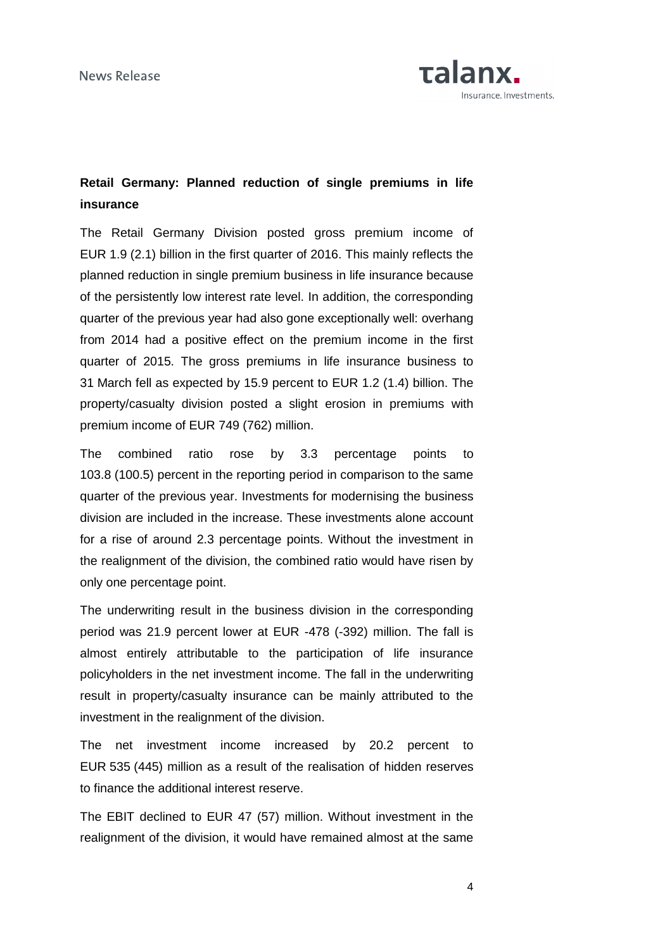

### **Retail Germany: Planned reduction of single premiums in life insurance**

The Retail Germany Division posted gross premium income of EUR 1.9 (2.1) billion in the first quarter of 2016. This mainly reflects the planned reduction in single premium business in life insurance because of the persistently low interest rate level. In addition, the corresponding quarter of the previous year had also gone exceptionally well: overhang from 2014 had a positive effect on the premium income in the first quarter of 2015. The gross premiums in life insurance business to 31 March fell as expected by 15.9 percent to EUR 1.2 (1.4) billion. The property/casualty division posted a slight erosion in premiums with premium income of EUR 749 (762) million.

The combined ratio rose by 3.3 percentage points to 103.8 (100.5) percent in the reporting period in comparison to the same quarter of the previous year. Investments for modernising the business division are included in the increase. These investments alone account for a rise of around 2.3 percentage points. Without the investment in the realignment of the division, the combined ratio would have risen by only one percentage point.

The underwriting result in the business division in the corresponding period was 21.9 percent lower at EUR -478 (-392) million. The fall is almost entirely attributable to the participation of life insurance policyholders in the net investment income. The fall in the underwriting result in property/casualty insurance can be mainly attributed to the investment in the realignment of the division.

The net investment income increased by 20.2 percent to EUR 535 (445) million as a result of the realisation of hidden reserves to finance the additional interest reserve.

The EBIT declined to EUR 47 (57) million. Without investment in the realignment of the division, it would have remained almost at the same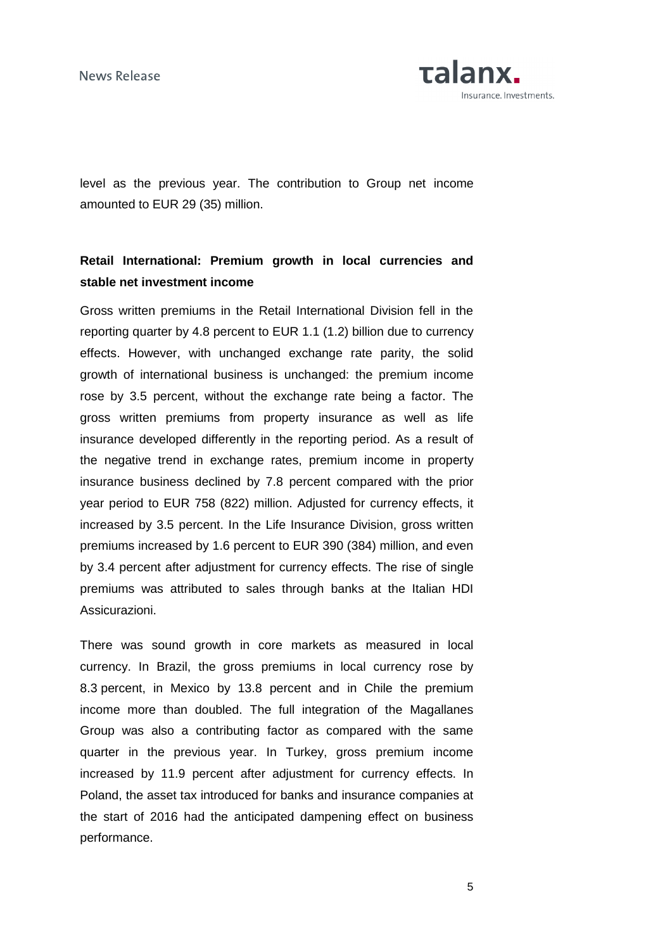News Release

Talanx. Insurance. Investments.

level as the previous year. The contribution to Group net income amounted to EUR 29 (35) million.

### **Retail International: Premium growth in local currencies and stable net investment income**

Gross written premiums in the Retail International Division fell in the reporting quarter by 4.8 percent to EUR 1.1 (1.2) billion due to currency effects. However, with unchanged exchange rate parity, the solid growth of international business is unchanged: the premium income rose by 3.5 percent, without the exchange rate being a factor. The gross written premiums from property insurance as well as life insurance developed differently in the reporting period. As a result of the negative trend in exchange rates, premium income in property insurance business declined by 7.8 percent compared with the prior year period to EUR 758 (822) million. Adjusted for currency effects, it increased by 3.5 percent. In the Life Insurance Division, gross written premiums increased by 1.6 percent to EUR 390 (384) million, and even by 3.4 percent after adjustment for currency effects. The rise of single premiums was attributed to sales through banks at the Italian HDI Assicurazioni.

There was sound growth in core markets as measured in local currency. In Brazil, the gross premiums in local currency rose by 8.3 percent, in Mexico by 13.8 percent and in Chile the premium income more than doubled. The full integration of the Magallanes Group was also a contributing factor as compared with the same quarter in the previous year. In Turkey, gross premium income increased by 11.9 percent after adjustment for currency effects. In Poland, the asset tax introduced for banks and insurance companies at the start of 2016 had the anticipated dampening effect on business performance.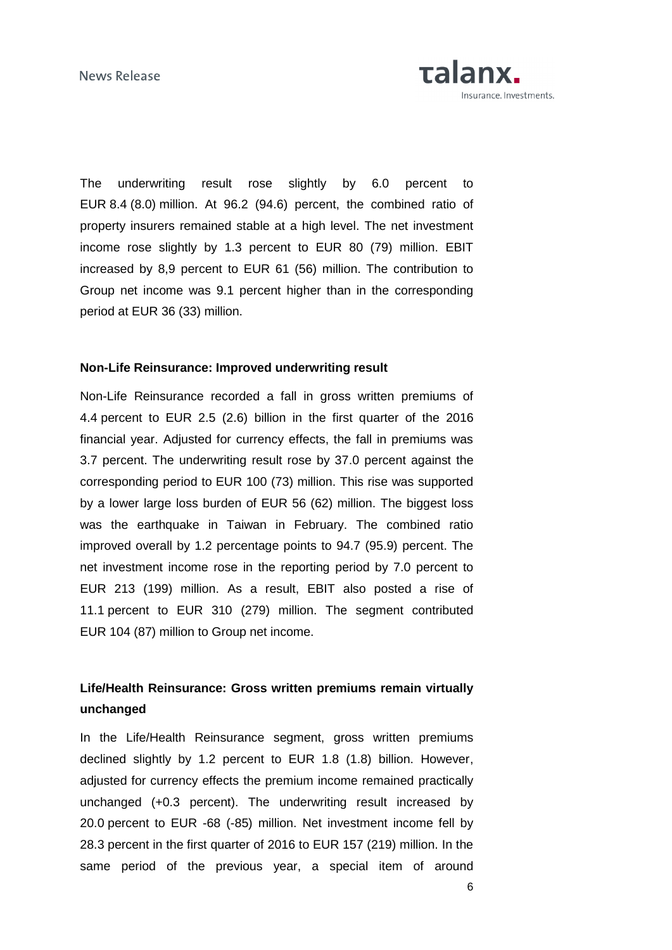

The underwriting result rose slightly by 6.0 percent to EUR 8.4 (8.0) million. At 96.2 (94.6) percent, the combined ratio of property insurers remained stable at a high level. The net investment income rose slightly by 1.3 percent to EUR 80 (79) million. EBIT increased by 8,9 percent to EUR 61 (56) million. The contribution to Group net income was 9.1 percent higher than in the corresponding period at EUR 36 (33) million.

### **Non-Life Reinsurance: Improved underwriting result**

Non-Life Reinsurance recorded a fall in gross written premiums of 4.4 percent to EUR 2.5 (2.6) billion in the first quarter of the 2016 financial year. Adjusted for currency effects, the fall in premiums was 3.7 percent. The underwriting result rose by 37.0 percent against the corresponding period to EUR 100 (73) million. This rise was supported by a lower large loss burden of EUR 56 (62) million. The biggest loss was the earthquake in Taiwan in February. The combined ratio improved overall by 1.2 percentage points to 94.7 (95.9) percent. The net investment income rose in the reporting period by 7.0 percent to EUR 213 (199) million. As a result, EBIT also posted a rise of 11.1 percent to EUR 310 (279) million. The segment contributed EUR 104 (87) million to Group net income.

### **Life/Health Reinsurance: Gross written premiums remain virtually unchanged**

In the Life/Health Reinsurance segment, gross written premiums declined slightly by 1.2 percent to EUR 1.8 (1.8) billion. However, adjusted for currency effects the premium income remained practically unchanged (+0.3 percent). The underwriting result increased by 20.0 percent to EUR -68 (-85) million. Net investment income fell by 28.3 percent in the first quarter of 2016 to EUR 157 (219) million. In the same period of the previous year, a special item of around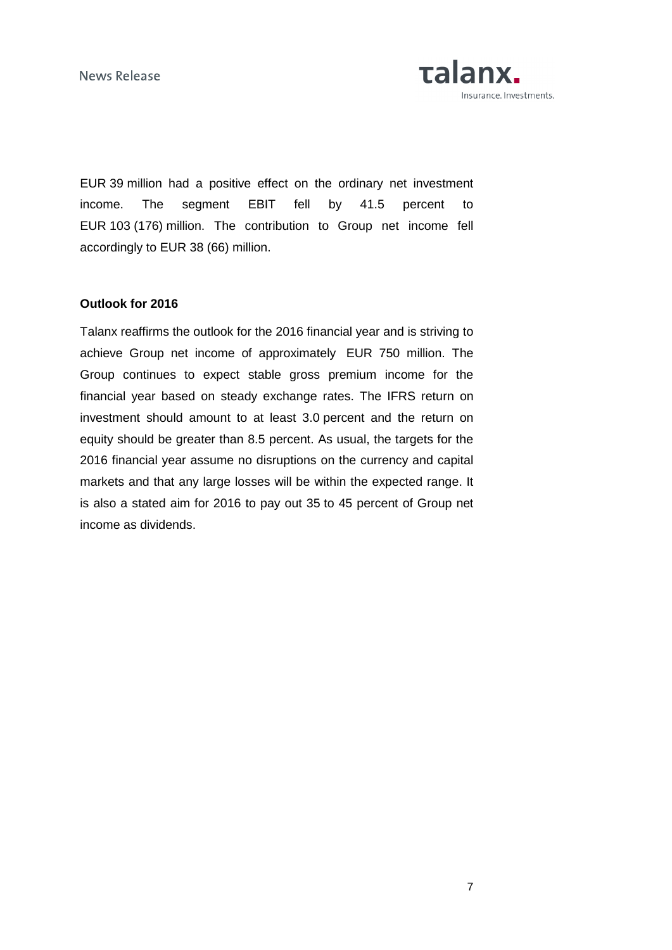**News Release** 



EUR 39 million had a positive effect on the ordinary net investment income. The segment EBIT fell by 41.5 percent to EUR 103 (176) million. The contribution to Group net income fell accordingly to EUR 38 (66) million.

### **Outlook for 2016**

Talanx reaffirms the outlook for the 2016 financial year and is striving to achieve Group net income of approximately EUR 750 million. The Group continues to expect stable gross premium income for the financial year based on steady exchange rates. The IFRS return on investment should amount to at least 3.0 percent and the return on equity should be greater than 8.5 percent. As usual, the targets for the 2016 financial year assume no disruptions on the currency and capital markets and that any large losses will be within the expected range. It is also a stated aim for 2016 to pay out 35 to 45 percent of Group net income as dividends.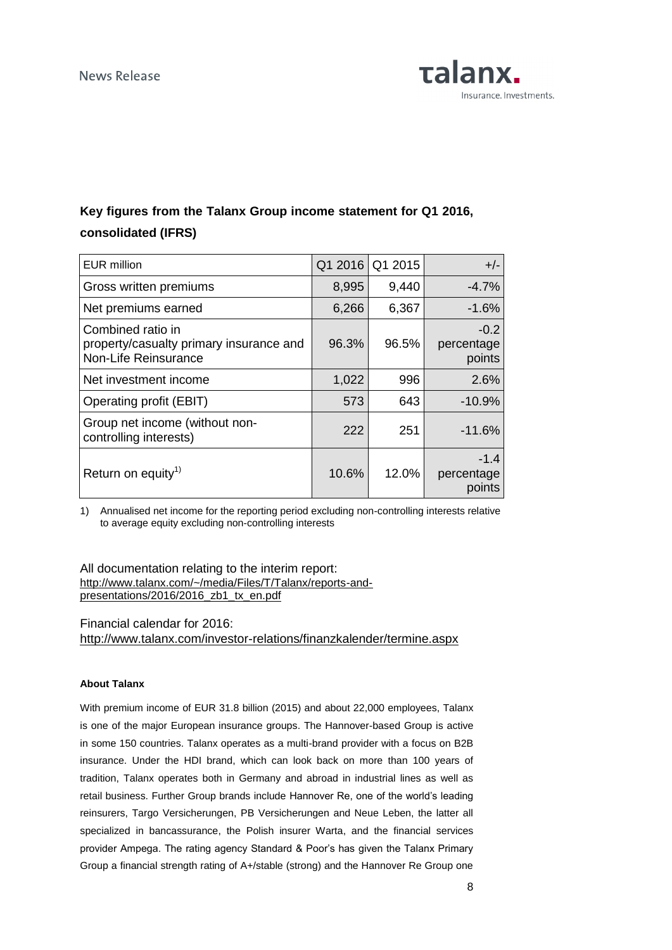

## **Key figures from the Talanx Group income statement for Q1 2016, consolidated (IFRS)**

| <b>EUR</b> million                                                                   | Q1 2016 | Q1 2015 | $+/-$                          |
|--------------------------------------------------------------------------------------|---------|---------|--------------------------------|
| Gross written premiums                                                               | 8,995   | 9,440   | $-4.7\%$                       |
| Net premiums earned                                                                  | 6,266   | 6,367   | $-1.6%$                        |
| Combined ratio in<br>property/casualty primary insurance and<br>Non-Life Reinsurance | 96.3%   | 96.5%   | $-0.2$<br>percentage<br>points |
| Net investment income                                                                | 1,022   | 996     | 2.6%                           |
| Operating profit (EBIT)                                                              | 573     | 643     | $-10.9%$                       |
| Group net income (without non-<br>controlling interests)                             | 222     | 251     | $-11.6%$                       |
| Return on equity <sup>1)</sup>                                                       | 10.6%   | 12.0%   | $-1.4$<br>percentage<br>points |

1) Annualised net income for the reporting period excluding non-controlling interests relative to average equity excluding non-controlling interests

All documentation relating to the interim report: [http://www.talanx.com/~/media/Files/T/Talanx/reports-and](http://www.talanx.com/~/media/Files/T/Talanx/reports-and-presentations/2016/2016_zb1_tx_en.pdf)[presentations/2016/2016\\_zb1\\_tx\\_en.pdf](http://www.talanx.com/~/media/Files/T/Talanx/reports-and-presentations/2016/2016_zb1_tx_en.pdf)

Financial calendar for 2016:

http://www.talanx.com/investor-relations/finanzkalender/termine.aspx

#### **About Talanx**

With premium income of EUR 31.8 billion (2015) and about 22,000 employees, Talanx is one of the major European insurance groups. The Hannover-based Group is active in some 150 countries. Talanx operates as a multi-brand provider with a focus on B2B insurance. Under the HDI brand, which can look back on more than 100 years of tradition, Talanx operates both in Germany and abroad in industrial lines as well as retail business. Further Group brands include Hannover Re, one of the world's leading reinsurers, Targo Versicherungen, PB Versicherungen and Neue Leben, the latter all specialized in bancassurance, the Polish insurer Warta, and the financial services provider Ampega. The rating agency Standard & Poor's has given the Talanx Primary Group a financial strength rating of A+/stable (strong) and the Hannover Re Group one